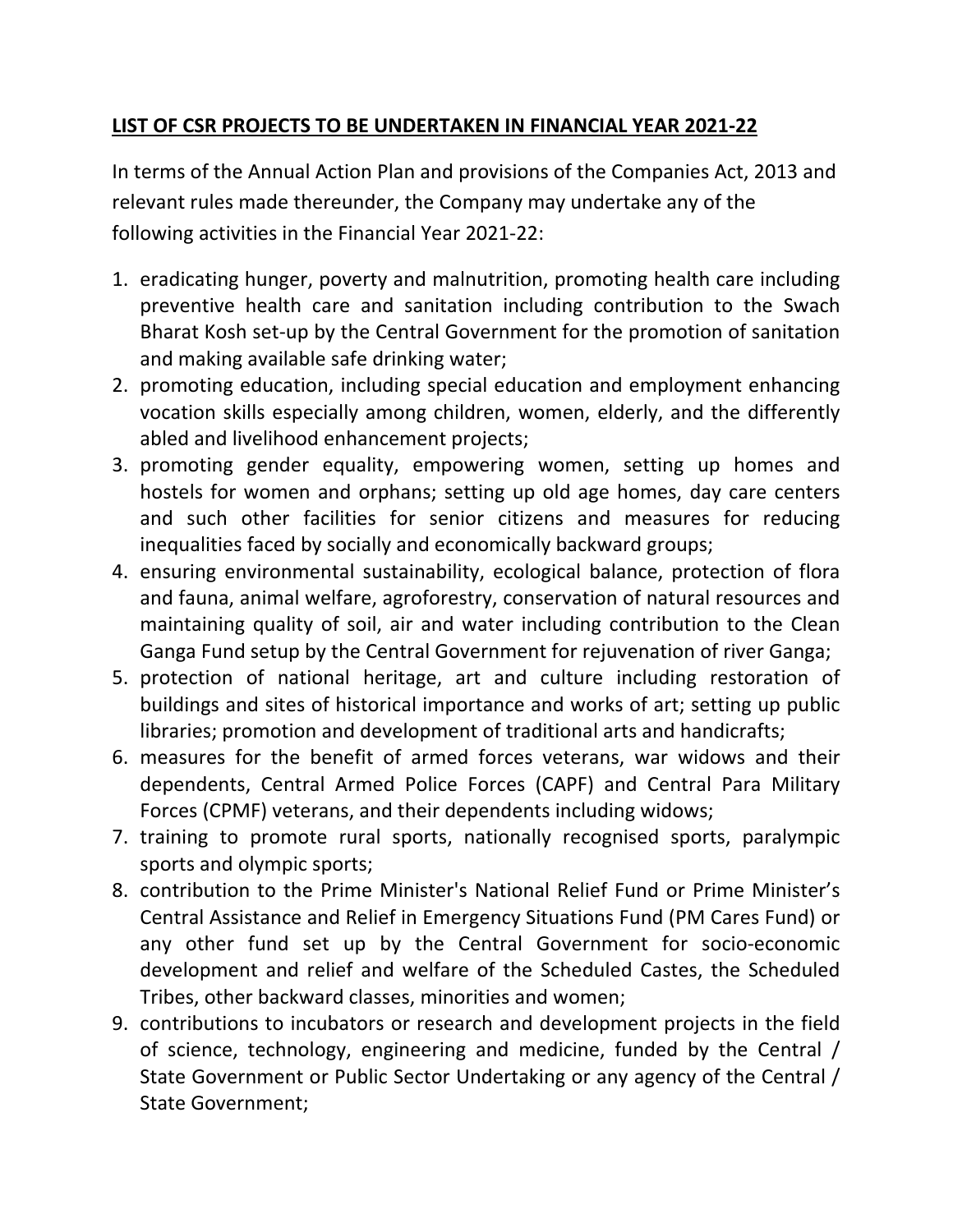## **LIST OF CSR PROJECTS TO BE UNDERTAKEN IN FINANCIAL YEAR 2021‐22**

In terms of the Annual Action Plan and provisions of the Companies Act, 2013 and relevant rules made thereunder, the Company may undertake any of the following activities in the Financial Year 2021‐22:

- 1. eradicating hunger, poverty and malnutrition, promoting health care including preventive health care and sanitation including contribution to the Swach Bharat Kosh set‐up by the Central Government for the promotion of sanitation and making available safe drinking water;
- 2. promoting education, including special education and employment enhancing vocation skills especially among children, women, elderly, and the differently abled and livelihood enhancement projects;
- 3. promoting gender equality, empowering women, setting up homes and hostels for women and orphans; setting up old age homes, day care centers and such other facilities for senior citizens and measures for reducing inequalities faced by socially and economically backward groups;
- 4. ensuring environmental sustainability, ecological balance, protection of flora and fauna, animal welfare, agroforestry, conservation of natural resources and maintaining quality of soil, air and water including contribution to the Clean Ganga Fund setup by the Central Government for rejuvenation of river Ganga;
- 5. protection of national heritage, art and culture including restoration of buildings and sites of historical importance and works of art; setting up public libraries; promotion and development of traditional arts and handicrafts;
- 6. measures for the benefit of armed forces veterans, war widows and their dependents, Central Armed Police Forces (CAPF) and Central Para Military Forces (CPMF) veterans, and their dependents including widows;
- 7. training to promote rural sports, nationally recognised sports, paralympic sports and olympic sports;
- 8. contribution to the Prime Minister's National Relief Fund or Prime Minister's Central Assistance and Relief in Emergency Situations Fund (PM Cares Fund) or any other fund set up by the Central Government for socio‐economic development and relief and welfare of the Scheduled Castes, the Scheduled Tribes, other backward classes, minorities and women;
- 9. contributions to incubators or research and development projects in the field of science, technology, engineering and medicine, funded by the Central / State Government or Public Sector Undertaking or any agency of the Central / State Government;